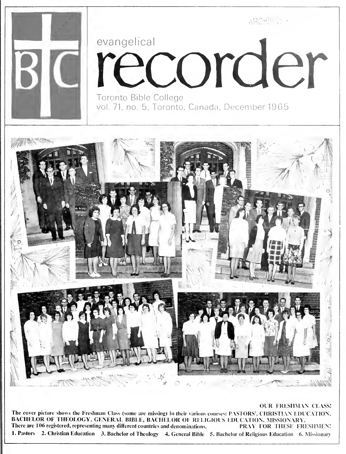

The cover picture shows the Freshman Class (some are missing) in their various courses: PASTORS', CHRISTIAN EDUCATION, BACHELOR OF THEOLOGY, GENERAL BIBLE, BACHELOR OF RELIGIOUS EDUCATION, MISSIONARY.<br>There are 106 registered, representing many different countries and denominations. PRAY FOR THESE FRESHMEN! There are 106 registered, representing many different countries and denominations. 1. Pastors 2. Christian Education 3. Bachelor of Theology 4. General Bible 5. Bachelor of Religious Education 6. Missionary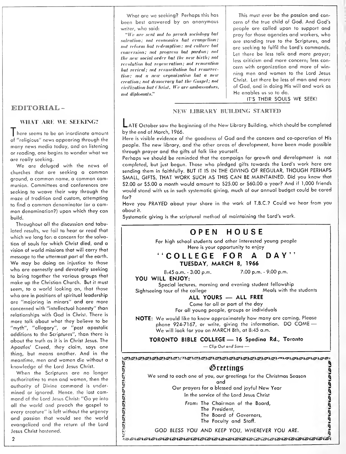# EDITORIAL -

# WHAT ARE WE SEEKING?

<sup>I</sup> here seems to be an inordinate amount of "religious" news appearing through the many news media today, and on listening or reading, one begins to wonder what we are really seeking.

We are deluged with the news of churches that are seeking a common ground, a common name, a common communion. Committees and conferences are seeking to weave their way through the maze of tradition and custom, attempting to find a common denominator (or a com mon denomination?) upon which they con build.

Throughout all the discussion and tabulated results, we fail to hear or read that which we long for: a concern for the salvation of souls for which Christ died, and a vision of world missions that will carry that message to the uttermost port of the earth. We may be doing an injustice to those who are earnestly and devotedly seeking to bring together the various groups that make up the Christian Church. But it must seem, to a world looking on, that those who are in positions of spiritual leadership are "majoring in minors" and are more concerned with "intellectual honesty" than relationships with God in Christ. There is more talk about what they believe to be "myth", "allegory", or "post apostolic additions to the Scriptures", than there is about the truth as it is in Christ Jesus. The Apostles' Creed, they claim, says one thing, but means another. And in the meantime, men and women die without a knowledge of the Lord Jesus Christ.

When the Scriptures are no longer authoritative to men and women, then the authority of Divine command is under mined or ignored. Hence, the last com mand of the Lord Jesus Christ: "Go ye into all the world and preach the gospel to every creature" is left without the urgency and passion that would see the world evangelized and the return of the Lord Jesus Christ hastened.

What are we seeking? Perhaps this has been best answered by an anonymous writer, who said:

"We are sent not to preach sociology but salvation; not economics but evangelism: not reform but redemption ; not culture but conversion: not progress but pardon; not the new social order but the new birth; not revolution but regeneration; not renovation but revival; not resuscitation hut resurrection; not a new organization hut a new creation; not democracy but the Gospel; not cicilization but Christ. We are ambassadors, not diplomats."

This must ever be the passion and concern of the true child of God. And God's people are called upon to support and pray for those agencies and workers, who ore standing true to the Scriptures, and are seeking to fulfil the Lord's commands. Let there be less talk and more prayer; less criticism and more concern; less con cern with organization and more of winning men and women to the Lord Jesus Christ. Let there be less of man and more of God, and in doing His will and work as He enables us so to do.

IT'S THEIR SOULS WE SEEK!

# NEW LIBRARY BUIIDINC; STARTED

LATE October saw the beginning of the New Library Building, which should be completed by the end of March, 1966.

Here is visible evidence of the goodness of God and the concern and co-operation of His people. The new library, and the other areas of development, hove been made possible through prayer and the gifts of folk like yourself.

Perhaps we should be reminded that the campaign for growth and development is not completed, but just begun. Those who pledged gifts towards the Lord's work here ore sending them in faithfully. BUT IT IS IN THE GIVING OF REGULAR, THOUGH PERHAPS SMALL, GIFTS, THAT WORK SUCH AS THIS CAN BE MAINTAINED. Did you know that \$2.00 or \$5.00 a month would amount to \$25.00 or \$60.00 a year? And if 1,000 friends would stand with us in such systematic giving, much of our annual budget could be cared for?

Have you PRAYED about your shore in the work of T.B.C.? Could we hear from you about it.

Systematic giving is the scriptural method of maintaining the Lord's work.

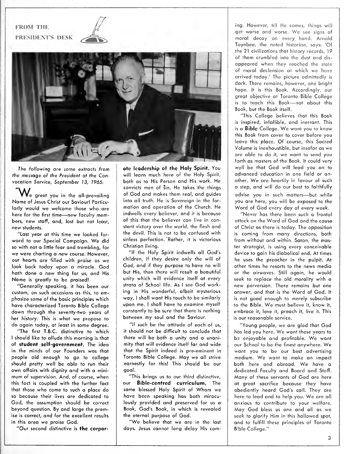# FROM THE PRESIDENT'S DESK



The following are some extracts from the message of the President at the Convocation Service, September 13, 1965:

 $\mathsf{W}_{\scriptscriptstyle{\text{e}}}$  greet you in the all-prevailing Name of Jesus Christ our Saviour! Particularly would we welcome those who are here for the first time—new faculty members, new staff, and, last but not least, new students.

"Last year at this time we looked for ward to our Special Campaign. We did so with not a little fear and trembling, for we were charting a new course. However, our hearts are filled with praise as we look back today upon a miracle. God hath done a new thing for us, and His Name is greatly to be praised!

"Generally speaking, it has been our custom, on such occasions as this, to emphasize some of the basic principles which have characterized Toronto Bible College down through the seventy-two years of her history. This is what we propose to do again today, at least in some degree.

"The first T.B.C. distinctive to which I should like to allude this morning is that of student self-government. The idea in the minds of our Founders was that people old enough to go to college should pretty well be able to run their own affairs with dignity and with a mini mum of supervision. And, of course, when this fact is coupled with the further fact that those who come to such a place do so because their lives are dedicated to God, the assumption should be correct beyond question. By and large the premise is correct, and for the excellent results in this area we praise God.

"Our second distinctive is the corpor-

ate leadership of the Holy Spirit. You will learn much here of the Holy Spirit, both as to His Person and His work. He convicts men of sin. He takes the things of God and makes them real, and guides into all truth. He is Sovereign in the for mation and operation of the Church, He indwells every believer, and it is because of this that the believer can live in constant victory over the world, the flesh and the devil. This is not to be confused with sinless perfection. Rather, it is victorious Christian living.

"If the Holy Spirit indwells all God's children, if they desire only the will of God, and if they purpose to have no will but His, then there will result a beautiful unity which will evidence itself at every strata of School life. As <sup>I</sup> see God working in His wonderful, albeit mysterious way, <sup>I</sup> shall want His touch to be similarly upon me. <sup>I</sup> shall have to examine myself constantly to be sure that there is nothing between my soul and the Saviour.

"If such be the attitude of each of us, it should not be difficult to conclude that there will be both a unity and a unanimity that will evidence itself far and wide that the Spirit indeed is pre-eminent in Toronto Bible College. May we all strive earnestly for this! This should be our goal.

"This brings us to our third distinctive, our Bible-centred curriculum. The same blessed Holy Spirit of Whom we have been speaking has both miraculously provided and preserved for us a Book, God's Book, in which is revealed the eternal purpose of God.

"We believe that we are in the last days. Jesus cannot long delay His com-

ing. However, till He comes, things will get worse and worse. We see signs of moral decay on every hand. Arnold Toynbee, the noted historian, soys: 'Of the 21 civilizations that history records, 19 of them crumbled info the dust and dis appeared when they reached the state of moral declension at which we have arrived today.' The picture admittedly is dark. There remains, however, one bright hope. It is this Book. Accordingly, our great objective at Toronto Bible College is to teach this Book—not about this Book, but the Book itself.

"This College believes that this Book is inspired, infallible, and inerrant. This is <sup>a</sup> Bible College. We want you to know this Book from cover to cover before you leave this place. Of course, this Sacred Volume is inexhaustible, but insofar as we are able to do it, we want to send you forth as masters of the Book. It could very well be that God will lead you on to advanced education in one field or another. We are heartily in favour of such a step, and will do our best to faithfully advise you in such matters—but while you are here, you will be exposed to the Word of God every day of every week.

"Never has there been such a frontal attack on the Word of God and the cause of Christ as there is today. The opposition is coming from many directions, both from without and within. Satan, the master strategist, is using every conceivable device to gain his diabolical end. At times he uses the preacher in the pulpit. At other times he resorts to the news media or the airwaves. Still again, he would seek to replace the old morality with a new perversion. There remains but one answer, and that is the Word of God. It is not good enough to merely subscribe to the Bible. We must believe it, know it, embrace it, love it, preach it, live it. This is our reasonable service.

"Young people, we are glad that God has led you here. We want these years to be enjoyable and profitable. We want our School to be the finest anywhere. We want you to be our best advertising medium. We want to make an impact both here and abroad. We have <sup>a</sup> dedicated Faculty and Board and Staff. Many of these servants of God are here at great sacrifice because they have obediently heard God's call. They are here to lead and to help you. We are all anxious to contribute to your welfare. May God bless us one and all as we seek to glorify Him in this hallowed spot, and to fulfill these principles of Toronto Bible College."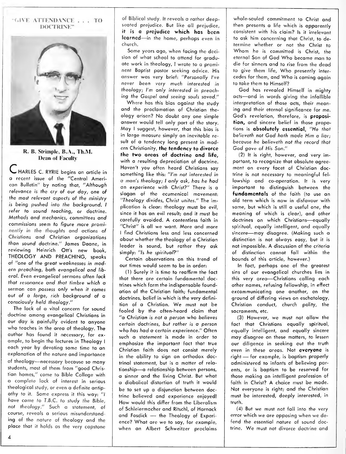#### "GIVE ATTENDANCE . . . TO DOCTRINE"



R. B. Strimple, B.A., Th.M. Dean of Faculty

V- HARLES C. RYRIE begins an article In a recent issue of the "Central Ameri can Bulletin" by noting that, "Although relevance is the cry of our day, one of the most relevant aspects of the ministry is being pushed into the background. <sup>I</sup> refer to sound teaching, or doctrine. Methods and mechanics, committees and commissions seem to figure more prominently in the thoughts and actions of Christians and Christian organizations than sound doctrine." James Daane, in reviewing Heinrich Ott's new book, THEOLOGY AND PREACHING, speaks of "one of the great weaknesses in modern preaching, both evangelical and lib eral. Even evangelical sermons often lack that resonance and that timbre which a sermon can possess only when it comes out of a large, rich background of a consciously held theology."

The lack of a vital concern for sound doctrine among evangelical Christians in our day is painfully evident to anyone who teaches in the area of theology. The author has found it necessary, for ex ample, to begin the lectures in Theology <sup>I</sup> each year by devoting some time to an explanation of the nature and importance of theology—necessary because so many students, most of them from "good Christian homes," come to Bible College with a complete lack of interest in serious theological study, or even a definite antip athy to it. Some express it this way: "I have came to T.B.C. to study the Bible, not theology." Such a statement, of course, reveals a serious misunderstanding of the nature of theology and the place that it holds as the very capstone

of Biblical study. It reveals a rather deepseated prejudice. But like all prejudice, it is a prejudice which has been learned—in the home, perhaps even in church.

Some years ago, when facing the decision of what school to attend for graduate work in theology, <sup>I</sup> wrote to a prominent Baptist pastor seeking advice. His answer was very brief: "Personally I've never been very much interested in theology; I'm only interested in preaching the Gospel and seeing souls saved."

Where has this bias against the study and the proclamation of Christian the ology arisen? No doubt any one simple answer would tell only part of the story. May <sup>I</sup> suggest, however, that this bias is in large measure simply an inevitable result of a tendency long present in modern Christianity, the tendency to divorce the two areas of doctrine and life, with a resulting depreciation of doctrine. Haven't you often heard Christians say something like this: "I'm not interested in a man's theology; <sup>I</sup> only ask, has he had an experience with Christ?" There is a slogan of the ecumenical movement: "Theology divides, Christ unites." The implication is clear: theology must be evil, since it has an evil result; and it must be carefully avoided. A contentless faith in "Christ" is all we want. More and more <sup>I</sup> find Christians less and less concerned about whether the theology of a Christian leader is sound, but rather they ask simply: "Is he spiritual?"

Certain observations on this trend of our times would seem to be in order:

(1) Surely itis time to reaffirm the fact that there are certain fundamental doctrines which form the indispensable foundation of the Christian faith; fundamental doctrines, belief in which is the very definition of <sup>a</sup> Christian. We must not be fooled by the often-heard claim that "a Christian is not a person who believes certain doctrines, but rather is a person who has had a certain experience." Often such a statement is made in order to emphasize the important fact that true Christian faith does not consist merely in the ability to sign an orthodox doctrinal statement, but is a matter of rela tionship—<sup>a</sup> relationship between persons, a sinner and the living Christ. But what a diabolical distortion of truth it would be to set up a disjunction between doctrine believed and experience enjoyed! How would this differ from the Liberalism of Schleiermacher and RitschI, of Harnack and Fosdick — the Theology of Experi ence? What are we to soy, for example, when an Albert Schweitzer proclaims

whole-souled commitment to Christ and then presents a life which is apparently consistent with his claim? Is it irrelevant to ask him concerning that Christ, to de termine whether or not the Christ to Whom he is committed is Christ, the eternal Son of God Who became man to die for sinners and to rise from the dead to give them life. Who presently inter cedes for them, and Who is coming again to take them to Himself?

God has revealed Himself in mighty acts—and in words giving the infallible interpretation of those acts, their meaning and their eternal significance for me. God's revelation, therefore, is proposition, and sincere belief in those propotions is absolutely essential. "He that believeth not God hath made Him a liar; because he believeth not the record that God gave of His Son."

(2) It is right, however, and very im portant, to recognize that absolute agree ment on every facet of Christian doctrine is not necessary to meaningful fel lowship and co-operation. It is very important to distinguish between the fundamentals of the faith (to use an old term which is now in disfavour with some, but which is still a useful one, the meaning of which is clear), and other doctrines on which Christians—equally spiritual, equally intelligent, and equally sincere—may disagree. (Moking such <sup>a</sup> distinction is not always easy, but if is not impossible. A discussion of the criteria of distinction cannot fall within the bounds of this article, however.)

In fact, perhaps one of the greatest sins of our evangelical churches lies in this very area—Christians calling each other names, refusing fellowship, in effect excommunicating one another, on the ground of differing views on eschatology. Christian conduct, church polity, the sacraments, etc.

(3) However, we must not allow the fact that Christians equally spiritual, equally intelligent, and equally sincere may disagree on these matters, to lessen our diligence in seeking out the truth even in these areas. Not everyone is right — for example, is baptism properly administered to infants of believing parents, or is baptism to be reserved for those making an intelligent profession of faith in Christ? A choice must be made. Not everyone is right; and the Christian must be interested, deeply interested, in truth.

(4) But we must not fall into the very error which we are opposing when we de fend the essential nature of sound doctrine. We must not divorce doctrine and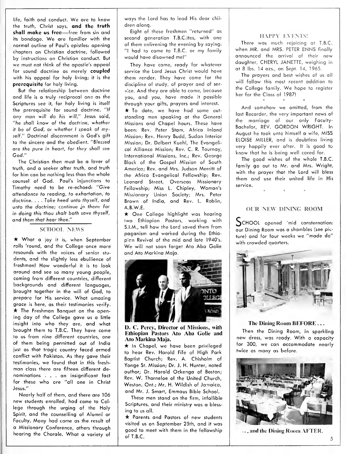life, faith and conduct. We are to know the truth, Christ says, and the truth shall make us free—free from sin and its bondage. We are familior with the normal outline of Paul's epistles: opening chapters on Christian doctrine, followed by instructions on Christian conduct. But we must not think of the apostle's appeal for sound doctrine as merely coupled with his appeal for holy living; it is the prerequisite for holy living.

But the relationship between doctrine and life is a truly reciprocal one as the Scriptures see it, for holy living is itself the prerequisite for sound doctrine. "If any man will do his will," Jesus said, "he shall know of the doctrine, whether it be of God, or whether <sup>I</sup> speak of myself." Doctrinal discernment is God's gift to the sincere and the obedient. "6/essed ore the pure in heart, for they shall see God."

The Christian then must be a lover of truth, and a seeker after truth, and truth for him can be nothing less than the whole counsel of God. Paul's injunctions to Timothy need to be re-echoed: "Give attendance to reading, to exhortation, to doctrine. . . . Take heed unto thyself, and unto the doctrine; continue in them: for in doing this thou shalt both save thyself, and them that hear thee."

# SCHOOL NEWS

 $\star$  What a joy it is, when September rolls 'round, and the College -once more resounds with the voices of senior stu dents, and the slightly less ebullience of freshmen! How wonderful it is to look around and see so many young people, coming from different countries, different backgrounds and different languages, brought together in the will of God, to prepare for His service. What amazing grace is here, as their testimonies verify.  $\star$  The Freshman Banquet on the opening day of the College gave us a little insight into who they are, and what brought them to T.B.C. They have come to us from nine different countries, one of them being permitted out of India just as that tragic country faced armed conflict with Pakistan. As they gave their testimonies, we found that in this fresh man class there are fifteen different de nominations ... an insignificant fact for these who are "all one in Christ Jesus."

Nearly half of them, and there are 106 new students enrolled, hod come to Col lege through the urging of the Holy Spirit, and the counselling of Alumni or Faculty. Many had come as the result of a Missionary Conference, others through hearing the Chorale. What a variety of ways the Lord has to lead His dear chil dren along.

Eight of these freshmen "returned" as second generation T.B.C.ites, with one of them enlivening the evening by saying: "I had to come to T.B.C. or my family would have disowned me!"

They have come, ready for whatever service the Lord Jesus Christ would hove them render. They have come for the discipline of study, of prayer and of ser vice. And they are able to come, because you, and you, have made it possible<br>through your gifts, prayers and interest.  $\star$  To date, we have had some outstanding men speaking at the General Missions and Chapel hours. These have been: Rev. Peter Stam, Africa inland Mission; Rev. Henry Budd, Sudan Interior Mission; Dr. Delbert Kuehl, The Evangelical Alliance Mission; Rev. C. R. Tournay, International Missions, Inc.; Rev. George Black of the Gospel Mission of South America; Rev. and Mrs. Judson Merritt of the Africa Evangelical Fellowship; Rev. Leonard Street, Overseas Missionary Fellowship; Miss L. Chipley, Woman's Missionary Union Society; Mrs. Peter Brown of India, and Rev. L. Roblin, A.B.W.E.

 $\star$  One College highlight was hearing two Ethiopian Pastors, working with S.I.M., tell how the Lord saved them from paganism and worked during the Ethio picn Revival of the mid and late 1940's. We will not soon forget Ato Aba Golie and Ato Markina Mojo.



D. C. Percy, Director of Missions, with Ethiopian Pastors Ato Aba Golie and Ato Markina Maja.

 $\star$  In Chapel, we have been privileged to hear Rev. Harold Fife of High Park Baptist Church; Rev. A. Chisholm of Yonge St. Mission; Dr. J. H. Hunter, noted author; Dr. Harold Ockengo of Boston; Rev. W. Thorneloe of the United Church, Weston, Ont.; Mr. H. Wildish of Jamaica, and Mr. J. Smart, Emmaus Bible School.

These men stand on the firm, infallible Scriptures, and their ministry was a bless ing to us all.

\* Parents and Pastors of new students visited us on September 25th, and it was good to meet with them in the fellowship of T.B.C.

# HAPPY EVENTS!

There was much rejoicing at T.B.C. when MR. and MRS. PETER ENNS finally announced the arrival of their new daughter, CHERYL JANETTE, weighing in at 8 lbs. 14 ozs., on Sept. 14, 1965.

The prayers and best wishes of us all will follow this most recent addition to the College family. We hope to register her for the Class of 1987!

And somehow we omitted, from the last Recorder, the very important news of the marriage of our only Faculty- Bachelor, REV. GORDON WRIGHT. In August he took unto himself a wife, MISS ELOISE MILLER, and is doubtless living very happily ever after. It is good to know that he is being well cared for.

The good wishes of the whole T.B.C. family go out to Mr. and Mrs. Wright, with the prayer that the Lord will bless them and use their united life in His service.

# OUR NEW DINING ROOM

^CHOOL opened 'mid consternation: our Dining Room was a shambles (see pic ture) and for four weeks we "made do" with crowded quarters.



#### The Dining Room BEFORE . .

Then the Dining Room, in sparkling new dress, was ready. With a capacity for 300, we can accommodate nearly twice as many as before.



, . and the Dining Room AFTER.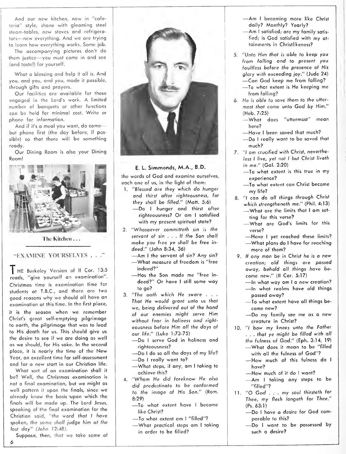And our new kitchen, now in "cafeteria" style, shone with gleaming steel steam-tables, new stoves and refrigerators—new everything. And we are trying to learn how everything works. Some job.

The accompanying pictures don't do them justice—you must come in and see (and taste!) for yourself.

What a blessing and help it all is. And you, and you, and you, made it possible, through gifts and prayers.

Our facilities are available for those engaged in the Lord's work. A limited number of banquets or other functions can be held for minimal cost. Write or phone for information.

And if it's a meal you want, do come but phone first (the day before, if possible) so that there will be something ready.

Our Dining Room is also your Dining Room!



The Kitchen

# "EXAMINE YOURSELVES . . . "

HE Berkeley Version of II Cor. 13:5 reads, "give yourself an examination". Christmas time is examination time for students at T.B.C., and there are two good reasons why we should all have an examination at this time. In the first place,

it is the season when we remember Christ's great self-emptying pilgrimage to earth, the pilgrimage that was to lead to His death for us. This should give us the desire to see if we are doing as well as we should, for His sake. In the second place, it is nearly the time of the New Year, an excellent time for self-assessment and for a new start in our Christian life.

What sort of an examination shall it be? Well, the Christmas examination is not a final examination, but we might as well pattern it upon the finals, since we already know the basis upon which the finals will be made up. The Lord Jesus, speaking of the final examination for the Christian said, "the word that I have spoken, the same shall judge him at the last day" (John 12:48).

Suppose, then, that we take some of

6



# E. L. Simmonds, M.A., B.D.

the words of God and examine ourselves, each one of us, in the light of them:

- 1. "6/essed ore they which do hunger and thirst after righteousness, for they shall be filled." (Matt. 5:6) —Do <sup>I</sup> hunger and thirst after
	- righteousness? Or am <sup>I</sup> satisfiied with my present spiritual state?
- 2. "Whosoever committeth sin is the servant of sin . . . If the Son shall make you free ye shall be free in-
	- —Am I the servant of sin? Any sin?<br>—What measure of freedom is "free<br>indeed?"
	- $-$ Has the Son made me "free indeed?" Or hove <sup>I</sup> still some way to go?
- 3. "The oath which He swore . . . That He would grant unto us that we, being delivered out of the hand of our enemies might serve Him without fear in holiness and right eousness before Him all the days of
	- -Do I serve God in holiness and<br>
	righteousness?
	- —Do I do so all the days of my life?<br>—Do I really want to?<br>—What steps, if any, am I taking to
	- achieve this?
- 4. "Whom He did foreknow He also did predestinate to be conformed to the image of His Son." (Rom.
	- 8:29)<br>—To what extent have I become<br>— like Christ?
	- —To what extent am I "filled"?<br>—What practical steps am I taking
	- in order to be filled?
- —Am <sup>I</sup> becoming more like Christ
- -Am I satisfied; are my family satisfied; is God satisfied with my at tainments in Christlikeness?
- 5. "Unto Him that is able to keep you from falling and to present you foultless before the presence of His<br>glory with exceeding joy." (Jude 24) —Can God keep me from falling?<br>—To what extent is He keeping me
	- from falling?
- 6. He is able to save them to the utter most that come unto God by Him."
	- (Heb. 7:25)<br>—What does "uttermost" mean<br>— here?
	- —Have I been saved that much?<br>—Do I really want to be saved that
	- much?
- 7. "/ am crucified with Christ, nevertheless I live, yet not I but Christ liveth
	- in me." (Gal. 2:20)<br>
	—To what extent is this true in my<br>
	experience?
	- -To what extent can Christ become my life?
- 8. "I can do all things through Christ<br>which strenatheneth me." (Phil. 4:13)
	- —What are the limits that I am set-<br>ting for this verse?
	- —What are God's limits for this verse?
	- —Have I yet reached these limits?<br>—What plans do I have for reaching
	- - more of them?
- 9. If any man be in Christ he is a new creation; old things are passed away, behold all things have be
	- come new." (II Cor. 5:17)<br>—In what way am I a new creation?<br>—In what realms have old things<br>passed away?
	-
	- —To what extent have all things be-<br>come new?
	- -- Do my family see me as a new creature in Christ?
- 10. "I bow my knees unto the Father ... that ye might be filled with all<br>the fulness of God.'' (Eph. 3:14, 19) —What does it mean to be "filled<br>with all the fulness of God"?
	-
	- —How much of this fulness do I<br>have?
	-
	- —How much of it do I want?<br>—Am I taking any steps to be "filled"?
- 11. "O God . . . my soul thirsteth for Thee, my flesh longeth for Thee."
	- (Ps. 63:1)<br>—Do I have a desire for God com-<br>parable to this?
	- -Do I want to be possessed by such a desire?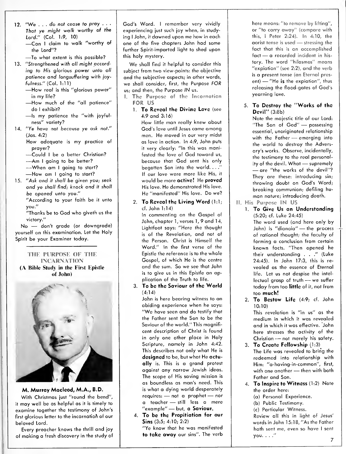12. "We ... do not cease fo pray . . . That ye might walk worthy of the<br>Lord." (Col. 1:9, 10) —Can I claim to walk "worthy of<br>the Lord"?

-To what extent is this possible?

- 13. "Strengthened with all might according to His glorious power unto all patience and longsuffering with joy
	- fulness." (Col. 1:11)<br>—How real is this "glorious power"<br>in my life?
	- —How much of the "all patience"<br>do Lexhibit?
	- -Is my patience the "with joyfulness" variety?
- 14. "Ye have not because ye ask not." (Jas. 4:2)
	- How adequate is my practice of
	- prayer? —Could I be a better Christian? —Am I going to be better?<br>—When am I going to start? —<br>—How am I going to start?
	-
	-
	-
- 15. "Ask and it shall be given you; seek and ye shall find; knock and it shall be opened unto you."
	- "According to your faith be it unto you."

"Thanks be to God who giveth us the victory."

No - don't grade (or downgrade) yourself on this examination. Let the Holy Spirit be your Examiner today.

# THE PURPOSE OF THE **INCARNATION** (.\ Bible Study in the First Epistle of John)



# M. Murray Macleod, M.A., B.D.

With Christmas just "round the bend", it may well be as helpful as it is timely to examine together the testimony of John's first glorious letter to the incarnation of our beloved Lord.

Every preacher knows the thrill and joy of making a fresh discovery in the study of God's Word. <sup>I</sup> remember very vividly experiencing just such joy when, in studying I John, it dawned upon me how in each one of the five chapters John had some further Spirit-imparted light to shed upon this holy mystery.

We shall find it helpful to consider this subject from two view-points: the objective and the subjective aspects; in other words, we shall consider, first, the Purpose FOR US; and then, the Purpose IN us.

I. The Purpose of the Incarnation FOR US

1. To Reveal the Divine Love (see 4:9 and 3:16)

How little man really knew about God's love until Jesus came among men. He moved in our very midst as love in action. In 4:9, John puts it very clearly: "In this was manifested the love of God toword us, because that God sent his only begotten Son into the world.  $\ldots$ If our love were more like His, it would be more octive! He proved His love. He demonstrated His love. He "manifested" His love. Do we?

# 2. To Reveal the Living Word (1:1; cf. John 1:14)

In commenting on the Gospel of John, chapter 1, verses 1, 9 and 14, Lightfoot says: "Here the thought is of the Revelation, and not of the Person. Christ is Himself the Word." In the first verse of the Epistle the reference is to the whole Gospel, of which He is the centre and the sum. So we see that John is to give us in this Epistle an application of the Truth to life.

# 3. To be the Saviour of the World (4:14)

John is here bearing witness to an abiding experience when he soys: "We have seen and do testify that the Father sent the Son to be the Saviour of the world." This magnificent description of Christ is found in only one other place in Holy Scripture, namely in John 4:42. This describes not only what He is designed to be, but what He actually is. This is a grand protest against any narrow Jewish ideas. The scope of His saving mission is as boundless as man's need. This is what a dying world desperately requires: — not <sup>a</sup> prophet — nor <sup>a</sup> teacher — still less <sup>a</sup> mere "example" — but, <sup>a</sup> Saviour.

4. To be the Propitiation for our Sins (3:5; 4:10; 2:2)

"Ye know that he was manifested to take away our sins". The verb here means: "to remove by lifting", or "to carry away" (compare with this, <sup>I</sup> Peter 2:24). In 4:10, the aorist tense is used — stressing the fact that this is an accomplished fact — <sup>a</sup> recorded incident in his tory. The word "hilasmos" means "expiation" (see 2:2), and the verb is a present tense (an Eternal present) — "He is the expiation", thus releasing the flood-gates of God's yearning love.

# 5. To Destroy the "Works of the Devil" (3:8b)

Note the majestic title of our Lord: "The Son of God" — possessing essential, unoriginated relationship with the Father — emerging into the world to destroy the Adversary's works. Observe, incidentally, the testimony to the real personality of the devil. What — supremely — are "the works of the devil"? They ore these: introducing sin; throwing doubt on God's Word; breaking communion; defiling hu man nature; introducing death.

- His Purpose IN US
	- 1. To Give Us an Understanding (5:20; cf. Luke 24:45) The word used (and here only by John) is "dianoia" — the process of rational thought; the faculty of forming a conclusion from certain known facts. "Then opened he their understanding . . ." (Luke 24:45). In John 17:3, this is re vealed as the essence of Eternal life. Let us not despise the intel lectual grasp of truth — we suffer today from too little of it, not from too much!
	- 2. To Bestow Life (4:9; cf. John 10:10)

This revelation is "in us" as the medium in which it was revealed and in which it was effective. John here stresses the activity of the Christian — not merely his safety.

- 3. To Create Fellowship (1:3) The Life was revealed to bring the redeemed into relationship with Him: "a-having-in-common", first, with one another — then with both Father and Son.
- 4. To Inspire to Witness (1:2) Note the order here:
	- (a) Personal Experience.
	- (b) Public Testimony.

(c) Particular Witness. Review all this in light of Jesus' words in John 15:18, "As the Father hath sent me, even so have <sup>I</sup> sent you. . . ."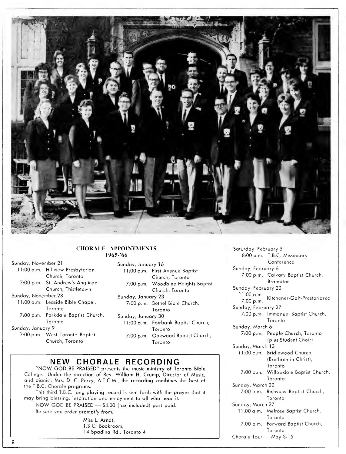

# CHORALE APPOINTMENTS 1965-'66

| Sunday, November 21 |                                    |
|---------------------|------------------------------------|
|                     | 11:00 a.m. Hillview Presbyterian   |
|                     | Church, Toronto                    |
|                     | 7:00 p.m. St. Andrew's Anglican    |
|                     | Church, Thistletown                |
| Sunday, November 28 |                                    |
|                     | 11:00 a.m. Leaside Bible Chapel,   |
|                     | Toronto                            |
|                     | 7:00 p.m. Parkdale Baptist Church, |
|                     | Toronto                            |
|                     |                                    |

#### Sunday, January 9

7:00 p.m. West Toronto Baptist Church, Toronto

| Sunday, January 16 |                                     |
|--------------------|-------------------------------------|
|                    | 11:00 a.m. First Avenue Baptist     |
|                    | Church, Toronto                     |
|                    | 7:00 p.m. Woodbine Heights Baptist  |
|                    | Church, Toronto                     |
| Sunday, January 23 |                                     |
|                    | 7:00 p.m. Bethel Bible Church,      |
|                    | Toronto                             |
| Sunday, January 30 |                                     |
|                    | 11:00 a.m. Fairbank Baptist Church, |
|                    | Toronto                             |
|                    | 7:00 p.m. Oakwood Baptist Church,   |
|                    | Toronto                             |

# NEW CHORALE RECORDING

"NOW GOD BE PRAISED" presents the music ministry of Toronto Bible College. Under the direction of Rev. William H. Crump, Director of Music, and pianist, Mrs. D. C. Percy, A.T.C.M., the recording combines the best of the T.B.C. Chorale programs. This third T.B.C. long playing record is sent forth with the prayer that it may bring blessing, inspiration and enjoyment to all who hear it.NOW GOD BE PRAISED - \$4.00 (tax included) post paid.

Be sure you order promptly from:

Miss L. Arndt, T.B.C. Bookroom, 14 Spadina Rd., Toronto 4

Kitchener-Galt-Preston area Saturday, February 5 8:00 p.m. T.B.C. Missionary Conference Sunday, February 6 7:00 p.m. Calvary Baptist Church, Brampton Sunday, February 20 11:00 a.m. 7:00 p.m. Sunday, February 27 7:00 p.m. Immanuel Baptist Church, Toronto Sunday, March 6 7:00 p.m. People Church, Toronto (plus Student Choir) Sunday, March 13 11:00 a.m. Bridlewood Church (Brethren in Christ), Toronto 7:00 p.m. Willowdale Baptist Church, Toronto Sunday, March 20 7:00 p.m. Richview Baptist Church, Toronto Sunday, March 27 11:00 a.m. Melrose Baptist Church, Toronto 7:00 p.m. Forward Baptist Church, Toronto Chorale Tour — May 3-15

 $\overline{8}$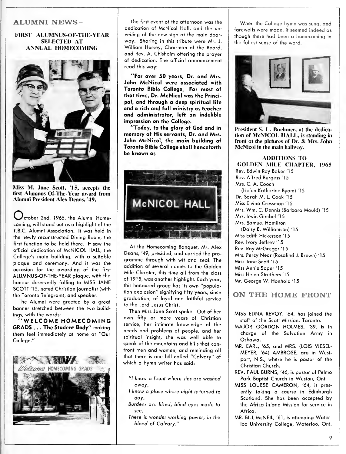# ALUMNI NEWS-

# FIRST ALUMNUS-OF-THE-YEAR SELECTED AT ANNUAL HOMECOMING



Miss M. Jane Scott, '15, accepts fhe first Alumnus-Of-The-Year award from Alumni President Alex Deans, '49.

 $\bigcup$ ctober 2nd, 1965, the Alumni Homecoming, will stand out as a highlight of the T.B.C. Alumni Association. It was held in the newly reconstructed Dining Room, the first function to be held there. It saw the official dedication of McNICOL HALL, the College's main building, with a suitable plaque and ceremony. And it was the occasion for the awarding of the first ALUMNUS-OF-THE-YEAR plaque, with the honour deservedly falling to MISS JANE SCOTT '15, noted Christian journalist (with the Toronto Telegram), and speaker.

The Alumni were greeted by a great banner stretched between the two build-<br>ings, with the words:

'WELCOME HOMECOMING GRADS . . . The Student Body" making them feel immediately at home at "Our College."



The first event of the afternoon was the dedication of McNicol Hall, and the unveiling of the new sign at the main door way. Sharing in this tribute were Mr. J. William Horsey, Chairman of the Board, and Rev. A. Chisholm offering the prayer of dedication. The official announcement read this way:

"For over 50 years. Dr. and Mrs. John McNicol were associated with Toronto Bible College. For most of that time, Dr. McNicol was the Principal, and through a deep spiritual life and a rich and full ministry as teacher and administrator, left an indelible impression on the College.

"Today, to the glory of God and in memory of His servants. Dr. and Mrs. John McNicol, the main building of Toronto Bible College shall henceforth be known as



At the Homecoming Banquet, Mr. Alex Deans, '49, presided, and carried the pro gramme through with wit and zeal. The addition of several names to the Golden Mile Chapter, this time all from the class of 1915, was another highlight. Each year, this honoured group has its own "population explosion" signifying fifty years, since graduation, of loyal and faithful service to the Lord Jesus Christ.

Then Miss Jane Scott spoke. Out of her own fifty or more years of Christian service, her intimate knowledge of the needs and problems of people, and her spiritual insight, she was well able to speak of the mountains and hills that confront men and women, and reminding all that there is one hill called "Calvary" of which a hymn writer has said:

- "I know a fount where sins are washed away,
- <sup>I</sup> know a place where nighf is turned to day,
- Burdens are lifted, blind eyes made to see,
- There is wonder-working power, in the blood of Calvary."

When the College hymn was sung, and farewells were made, if seemed indeed as though there had been a homecoming in the fullest sense of the word.



President S. L. Boehmer, at the dedication of McNICOL HALL, is standing in front of the pictures of Dr. & Mrs. John McNicol in the main hallway.

ADDITIONS TO GOLDEN MILE CHAPTER, 1965 Rev. Edwin Roy Baker '15 Rev. Alfred Burgess '15 Mrs. C. A. Cooch (Helen Katharine Byam) '15 Dr. Sarah M. L.Cook '15 Miss Elvino Cressman '15 Mrs. Wm. C. Dennis (Barbara Mould) '15 Mrs. Irwin Gimbel '15 Mrs. Samuel Hamilton (Daisy E. Williamson) '15 Miss Edith Hickerson '15 Rev. Ivory Jeffrey '15 Rev. Roy McGregor '15 Mrs. Percy Near (Rosalind J. Brown) '15 Miss Jane Scott '15 Miss Annie Soper '15 Miss Helen Struthers '15 Mr. George W. Honhold '15

ON THE HOME FRONT

- MISS EDNA REVOY, '64, has joined the staff of the Scott Mission, Toronto.
- MAJOR GORDON HOLMES, '39, is in charge of the Salvation Army in Oshawa.
- MR. EARL, '65, and MRS. (LOIS VIESEL- MEYER, '64) AMBROSE, are in Westport, N.S., where he is pastor of the Christian Church.
- REV. PAUL BURNS, '46, is pastor of Pelmo Park Baptist Church in Weston, Ont.
- MISS LOUESE CAMERON, '64, is presently taking a course in Edinburgh Scotland. She has been accepted by the Africa Inland Mission for service in Africa.
- MR. BILL McNEIL, '61, is attending Waterloo University College, Waterloo, Ont.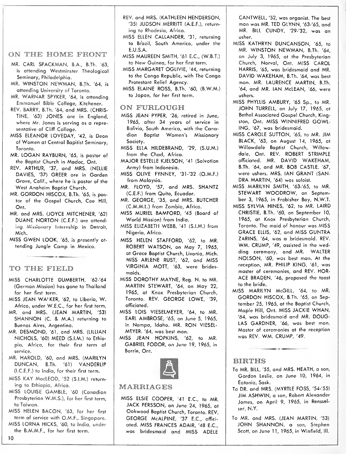# ON THE HOME FRONT

- MR. CARL SPACKMAN, B.A., B.Th. '63, is attending Westminster Theological Seminary, Philadelphia.
- MR. WINSTON NEWMAN, B.Th. '64, is attending University of Toronto.
- MR. WARNAR SPYKER, '64, is attending Emmanuel Bible College, Kitchener.
- REV. BARRY, B.Th. '64, and MRS. (CHRIS-TINE, '63) JONES are in England, where Mr. Jones is serving os a representative of Cliff College.
- MISS ELEANOR LOVEDAY, '42, is Dean of Women at Central Bapitist Seminary, Toronto.
- MR. LOGAN RAYBURN, '65, is pastor of the Baptist Church in Madoc, Onf.
- REV. ARTHUR, '37, and MRS. (NELLIE DAVIES, '37) GREER are in Garden Grove, Calif., where he is pastor of the West Anaheim Baptist Church.
- MR. GORDON HISCOX, B.Th. '65, is pastor of the Gospel Church, Coe Hill, Ont.
- MR. and MRS. (JOYCE MITCHENER, '62) DUANE NORTON (C.E.F.) are attending Missionary Internship in Detroit, Mich.
- MISS GWEN LOOK, '65, is presently at tending Jungle Camp in Mexico.

rO THE FIELD

- MISS CHARLOTTE DUMBERTH, '62-'64 (German Mission) has gone to Thailand for her first term.
- MISS JEAN WA'KER, '62, to Liberia, W. Africa, under W.E.C., for her first term.
- MR. and MRS. (JEAN MARTIN, '53) SHANNON (C. & M.A.) returning to Buenos Aires, Argentina.
- MR. DESMOND, '61, and MRS. (LILLIAN NICHOLS, '60) MEED (S.I.M.) to Ethio pia, Africa, for their first term of service.
- MR. HAROLD, '60, and MRS. (MARILYN DUNCAN, B.Th. '61) VANDERLIP (I. C.E.F.) to India, for their first term.
- MISS KAY MacLEOD, '52 (S.I.M.) returning to Ethiopia, Africa.
- MISS LOUISE GAMBLE, '60 (Canadian Presbyterion W.M.S.), for her first term, to Taiwan.
- MISS HELEN BACON, '63, for her first term of service with O.M.F., Singapore.
- MISS LORNA HICKS, '60, to India, under the B.M.M.F., for her first term.

REV. and MRS. (KATHLEEN HENDERSON, '35) JUDSON MERRITT (A.E.F.), return ing to Rhodesia, Africa.

- MISS ELLEN CALLANDER, '31, returning
- to Brazil, South America, under the E. U.S.A.
- MISS MAUREEN SMITH, '61 E.C., (W.B.T.) to New Guinea, for her first term.
- MISS MARGARET OGLIVIE, '44, returning to the Congo Republic, with The Congo Protestant Relief Agency.
- MISS ELAINE ROSS, B.Th. '60, (B.W.M.) to Japan, for her first term.

# ON FURLOUGH

- MISS JEAN PYPER, '26, retired in June, 1965, after 34 years of service in Bolivia, South America, with the Canadian Baptist Women's Missionary Society.
- MISS ELLA HILDEBRAND, '29, (S.U.M.) from the Chad, Africa.
- MAJOR ESTELLE KJELSON, '41 (Salvation Army) from Indonesia.
- MISS OLIVE FYNNEY, '31 -'32 (O.M.F.) from Malaysia.
- MR. FLOYD, '57, and MRS. SHANTZ (C.E.F.) from Quito, Ecuador.
- MR. GEORGE, '35, and MRS. BUTCHER (C.M.M.L.) from Zambia, Africa.
- MISS MURIEL BAMFORD, '45 (Board of World Mission) from India.
- MISS ELIZABETH WEBB, '41 (S.I.M.) from Nigeria, Africa.
- MISS HELEN STAFFORD, '62, to MR. ROBERT WATSON, on May 7, 1965, at Grace Baptist Church, Livonia, Mich. MISS ARLENE RUST, '62, and MISS VIRGINIA MOTT, '63, were bridesmaids.
- MISS DOROTHY MAYNE, Reg. N. to MR. MARTIN STEWART, '64, on May 22, 1965, at Knox Presbyterian Church, Toronto. REV. GEORGE LOWE, '39, officiated.
- MISS LOIS VIESELMEYER, '64, to MR. EARL AMBROSE, '65, on June 5, 1965, in Nompa, Idaho. MR. RON VIESEL- MEYER, '64, was best man.
- MISS JEAN HOPKINS, '62, to MR. GABRIEL FODOR, on June 19, 1965, in Barrie, Ont.



#### MARRIAGES

MISS ELSIE COOPER, '41 E.C., to MR. JACK PERSSON, on June 24, 1965, at Oakwood Baptist Church, Toronto. REV. GEORGE McALPINE, '37 E.C., offici ated. MISS FRANCES ADAIR, '48 E.C., was bridesmaid and MISS ADELE

CANTWELL, '52, was organist. The best man was MR. TED GLYNN, '63-'65, and MR. BILL CUNDY, '29-'32, was an usher.

- MISS KATHRYN DUNCANSON, '65, to MR. WINSTON NEWMAN, B.Th. '64, on July 3, 1965, at the Presbyterian Church, Norval, Ont. MISS CAROL HARRIS, '65, was bridesmaid and MR. DAVID WAKEHAM, B.Th. '64, was best man. MR. LAURENCE MARTIN, B.Th. '64, and MR. IAN McLEAN, '66, were ushers.
- MISS PHYLLIS AMBURY, '65 Sp., to MR. JOHN TURRELL, on July 17, 1965, at Bethel Associated Gospel Church, Kingston, Ont. MISS WINNIFRED COWL-ING, '67, was bridesmaid.
- MISS CAROLE SUTTON, '65, to MR. JIM BLACK, '63, on August 14, 1965, at Willowdale Baptist Church, Willowdole, Onf. REV. ROBERT STRIMPLE officiated. MR. DAVID WAKEHAM, B.Th. '64, and MR. BOB CASTLE, '67, were ushers. MRS. IAN GRANT (SAN- DRA MARTIN, '64) was soloist.
- MISS MARILYN SMITH, '63-'65, to MR. STEWART WOODROW, on September 3, 1965, in Frobisher Boy, N.W.T.
- MISS SYLVIA HINES, '62, to MR. LAIRD CHRISTIE, B.Th. '60, on September 10, 1965, at Knox Presbyterian Church, Toronto. The maid of honour was MISS GRACE ELLIS, '62, and MISS GUNTRA ZARINS, '64, was a bridesmaid. REV. WM. CRUMP, '49, assisted in the wedding ceremony, and MR. WALTER NOISON, '60, was best man. At the reception, MR. PHILIP KING, '61, was master of ceremonies, and REV. HOR- ACE BRADEN, '46, proposed the toast to the bride.
- MISS MARILYN McGILL, '64, to MR. GORDON HISCOX, B.Th. '65, on Sep tember 25, 1965, at the Baptist Church, Maple Hill, Ont. MISS JACKIE WHAN, '64, was bridesmaid and MR. DOUG-LAS GARDNER, '66, was best mon. Master of ceremonies at the reception was REV. WM. CRUMP, '49.

# BIRTHS

- To MR. BILL, '55, and MRS. HEATH, a son, Gordon Leslie, on June 10, 1964, in Eatonia, Sask.
- To DR. and MRS. (MYRTLE FOSS, '54-55) JIM ASHWIN, a son, Robert Alexander Jomes, on April 9, 1965, in Rensselser, N.Y.
- To MR. and MRS. (JEAN MARTIN, '53) JOHN SHANNON, <sup>a</sup> son, Stephen Scott, on June 11, 1965, in Winfield, III.

10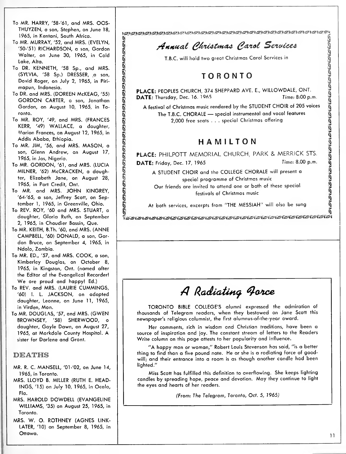- To MR. HARRY, '58-'61, and MRS. OOS-THUYZEN, a son, Stephen, on June 18, 1965, in Kentani, South Africa.
- To MR. MURRAY, '52, and MRS. (EVELYN, Walter, on June 30, 1965, in Cold Lake, Alta.
- To DR. KENNETH, '58 Sp., and MRS. (SYLVIA, '58 Sp.) DRESSER, a son, David Roger, on July 2, 1965, in Piri mapun, Indonesia.
- To DR. and MRS. (DOREEN McKEAG, '55) GORDON CARTER, <sup>a</sup> son, Jonathan Gordon, on August 10, 1965, in Toronto.
- To MR. ROY, '49, and MRS. (FRANCES KERR, '49) WALLACE, a daughter, Marion Frances, on August 12, 1965, in Addis Ababa, Ethiopia.
- To MR. JIM, '56, and MRS. MASON, a son, Glenn Andrew, on August 17, 1965, in Jos, Nigeria.
- (Findmar), sum Femining, sum Farmachiel, and MRS. (EVELYN, 150-51) RICHARDSON, a son, Gordon Walter, on June 30, 1965, in Cold Lake, Alta.<br>
Lake, Alta.<br>
S. D.R. KENNETH, 158 Sp., ond MRS. (SVELYN, 150-15) R. KENNETH, 158 S To MR. GORDON, '61, and MRS. (LUCIA MILNER, '62) McCRACKEN, a daughter, Elizabeth Jane, on August 28, 1965, in Port Credit, Ont.
- To MR. and MRS. JOHN KINGREY, '64-'65, a son, Jeffrey Scott, on Sep tember 1, 1965, in Greenville, Ohio.
- To REV. ROY, '60 and MRS. STUART, a daughter, Gloria Ruth, on September 2, 1965, in Chaudier Bassin, Que.
- To MR. KEITH, B.Th. '60, and MRS. (ANNE CAMPBELL, '60) DONALD, a son, Gor don Bruce, on September 4, 1965, in Ndola, Zambia.
- To MR. ED., '57, and MRS. COOK, a son, Kimberley Douglas, on October 8, 1965, in Kingston, Ont. (named after the Editor of the Evangelical Recorder! We are proud and happy! Ed.)
- To REV. and MRS. (LAURIE CUMMINGS, '60) I. L. JACKSON, an adopted daughter, Leanne, on June 11, 1965, in Virden, Man.
- To MR. DOUGLAS, '57, and MRS. (GWEN BROWNSEY, '58) SHERWOOD, a daughter, Gayle Dawn, on August 27, 1965, at Markdale County Hospital. A sister for Darlene and Gront.

# DEATHS

- MR. R. C. MANSELL, '01 -'02, on June 14, 1965, in Toronto.
- MRS. LLOYD B. MILLER (RUTH E. HEAD-INGS, '15) on July 10, 1965, in Ocala, Flo.
- MRS. HAROLD DOWDELL (EVANGELINE WILLIAMS, '35) on August 25, 1965, in Toronto.
- MRS. W. O. ROTHNEY (AGNES LINK- LATER, '10) on September 8, 1965, in Ottawa.

# Annual Christmas Carol Services

T.B.C. will hold two great Christmas Carol Services in

PLACE: PEOPLES CHURCH, 374 SHEPPARD AVE. E., WILLOWDALE, ONT.<br>DATE: Thursday, Dec. 16, 1965 [1976] Partne: 8:00 p.m. DATE: Thursday, Dec. 16. 1965

A festival of Christmas music rendered by the STUDENT CHOIR of 205 voices The T.B.C. CHORALE - special instrumental and vocal features 2,000 free seats . . . special Christmas offering

# HAMILTON

PLACE: PHILPOTT MEMORIAL CHURCH, PARK & MERRICK STS. DATE: Friday, Dec. 17, 1965 **Manual** 17, 1965 **Time: 8.00 p.m.** 

**Example 2018 11 Services**<br>
TORONTO<br>
1, 374 SHEPPARD AVE. E., WILLOWDALE, ONT.<br>
1965<br>
Signary of Services in<br>
1965<br>
Signary of STUDENT CHOIR of 205 voices<br>
1965<br>
Signary of STUDENT CHOIR of 205 voices<br>
2018<br>
2019<br>
2018<br>
1 A STUDENT CHOIR and the COLLEGE CHORALE will present <sup>a</sup> special programme of Christmas music Our friends are invited to attend one or both of these special festivals of Christmas music

At both services, excerpts from "THE MESSIAH" will also be sung

# A Radiating Force

TORONTO BIBLE COLLEGE'S alumni expressed the admiration of thousands of Telegram readers, when they bestowed on Jane Scott this newspaper's religious columnist, the first alumnus-of-the-year award.

Her comments, rich in wisdom ond Christian traditions, have been a source of inspiration and joy. The constant streom of letters to the Readers Write column on this page attests to her popularity and influence.

"A happy man or woman," Robert Louis Stevenson has said, "is a better thing to find than a five pound note. He or she is a radiating force of goodwill; and their entrance into a room is as though another candle had been lighted."

Miss Scott has fulfilled this definition to overflowing. She keeps lighting candles by spreading hope, peace and devotion. May they continue to light the eyes and hearts of her readers.

(From: The Telegram, Toronto, Oct. 5, 1965)